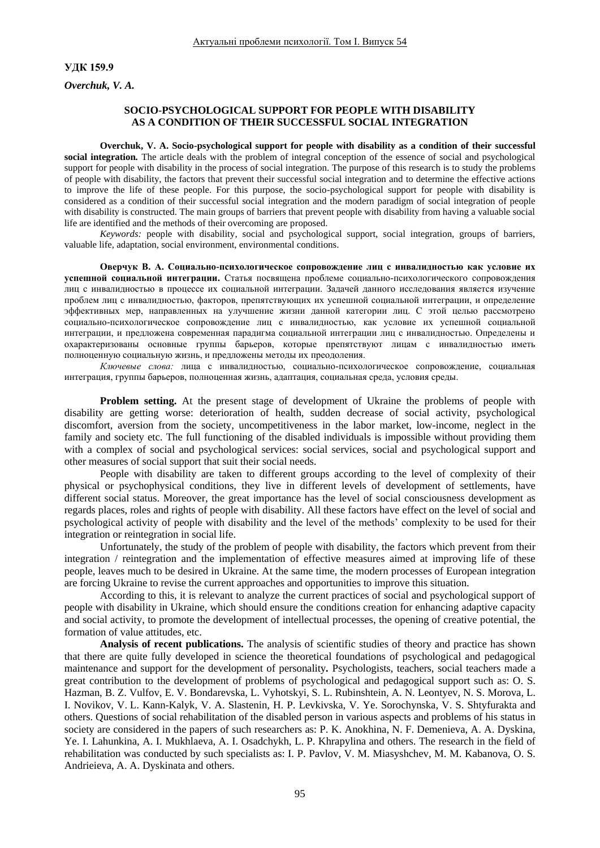#### **УДК 159.9**

*Overchuk, V. A.* 

# **SOCIO-PSYCHOLOGICAL SUPPORT FOR PEOPLE WITH DISABILITY AS A CONDITION OF THEIR SUCCESSFUL SOCIAL INTEGRATION**

**Overchuk, V. A. Socio-psychological support for people with disability as a condition of their successful social integration***.* The article deals with the problem of integral conception of the essence of social and psychological support for people with disability in the process of social integration. The purpose of this research is to study the problems of people with disability, the factors that prevent their successful social integration and to determine the effective actions to improve the life of these people. For this purpose, the socio-psychological support for people with disability is considered as a condition of their successful social integration and the modern paradigm of social integration of people with disability is constructed. The main groups of barriers that prevent people with disability from having a valuable social life are identified and the methods of their overcoming are proposed.

*Keywords:* people with disability, social and psychological support, social integration, groups of barriers, valuable life, adaptation, social environment, environmental conditions.

**Оверчук В. А. Социально-психологическое сопровождение лиц с инвалидностью как условие их успешной социальной интеграции.** Статья посвящена проблеме социально-психологического сопровождения лиц с инвалидностью в процессе их социальной интеграции. Задачей данного исследования является изучение проблем лиц с инвалидностью, факторов, препятствующих их успешной социальной интеграции, и определение эффективных мер, направленных на улучшение жизни данной категории лиц. С этой целью рассмотрено социально-психологическое сопровождение лиц с инвалидностью, как условие их успешной социальной интеграции, и предложена современная парадигма социальной интеграции лиц с инвалидностью. Определены и охарактеризованы основные группы барьеров, которые препятствуют лицам с инвалидностью иметь полноценную социальную жизнь, и предложены методы их преодоления.

*Ключевые слова:* лица с инвалидностью, социально-психологическое сопровождение, социальная интеграция, группы барьеров, полноценная жизнь, адаптация, социальная среда, условия среды.

**Problem setting.** At the present stage of development of Ukraine the problems of people with disability are getting worse: deterioration of health, sudden decrease of social activity, psychological discomfort, aversion from the society, uncompetitiveness in the labor market, low-income, neglect in the family and society etc. The full functioning of the disabled individuals is impossible without providing them with a complex of social and psychological services: social services, social and psychological support and other measures of social support that suit their social needs.

People with disability are taken to different groups according to the level of complexity of their physical or psychophysical conditions, they live in different levels of development of settlements, have different social status. Moreover, the great importance has the level of social consciousness development as regards places, roles and rights of people with disability. All these factors have effect on the level of social and psychological activity of people with disability and the level of the methods' complexity to be used for their integration or reintegration in social life.

Unfortunately, the study of the problem of people with disability, the factors which prevent from their integration / reintegration and the implementation of effective measures aimed at improving life of these people, leaves much to be desired in Ukraine. At the same time, the modern processes of European integration are forcing Ukraine to revise the current approaches and opportunities to improve this situation.

According to this, it is relevant to analyze the current practices of social and psychological support of people with disability in Ukraine, which should ensure the conditions creation for enhancing adaptive capacity and social activity, to promote the development of intellectual processes, the opening of creative potential, the formation of value attitudes, etc.

**Analysis of recent publications.** The analysis of scientific studies of theory and practice has shown that there are quite fully developed in science the theoretical foundations of psychological and pedagogical maintenance and support for the development of personality*.* Psychologists, teachers, social teachers made a great contribution to the development of problems of psychological and pedagogical support such as: O. S. Hazman, B. Z. Vulfov, E. V. Bondarevska, L. Vyhotskyi, S. L. Rubinshtein, A. N. Leontyev, N. S. Morova, L. I. Novikov, V. L. Kann-Kalyk, V. A. Slastenin, H. P. Levkivska, V. Ye. Sorochynska, V. S. Shtyfurakta and others. Questions of social rehabilitation of the disabled person in various aspects and problems of his status in society are considered in the papers of such researchers as: P. K. Anokhina, N. F. Demenieva, A. A. Dyskina, Ye. I. Lahunkina, A. I. Mukhlaeva, A. I. Osadchykh, L. P. Khrapylina and others. The research in the field of rehabilitation was conducted by such specialists as: I. P. Pavlov, V. M. Miasyshchev, M. M. Kabanova, O. S. Andrieieva, A. A. Dyskinata and others.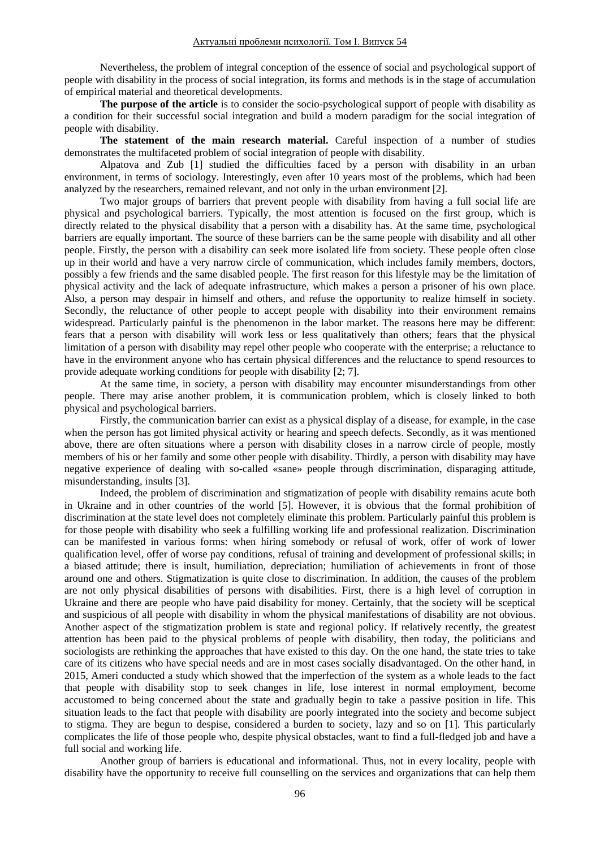Nevertheless, the problem of integral conception of the essence of social and psychological support of people with disability in the process of social integration, its forms and methods is in the stage of accumulation of empirical material and theoretical developments.

**The purpose of the article** is to consider the socio-psychological support of people with disability as a condition for their successful social integration and build a modern paradigm for the social integration of people with disability.

**The statement of the main research material.** Careful inspection of a number of studies demonstrates the multifaceted problem of social integration of people with disability.

Alpatova and Zub [1] studied the difficulties faced by a person with disability in an urban environment, in terms of sociology. Interestingly, even after 10 years most of the problems, which had been analyzed by the researchers, remained relevant, and not only in the urban environment [2].

Two major groups of barriers that prevent people with disability from having a full social life are physical and psychological barriers. Typically, the most attention is focused on the first group, which is directly related to the physical disability that a person with a disability has. At the same time, psychological barriers are equally important. The source of these barriers can be the same people with disability and all other people. Firstly, the person with a disability can seek more isolated life from society. These people often close up in their world and have a very narrow circle of communication, which includes family members, doctors, possibly a few friends and the same disabled people. The first reason for this lifestyle may be the limitation of physical activity and the lack of adequate infrastructure, which makes a person a prisoner of his own place. Also, a person may despair in himself and others, and refuse the opportunity to realize himself in society. Secondly, the reluctance of other people to accept people with disability into their environment remains widespread. Particularly painful is the phenomenon in the labor market. The reasons here may be different: fears that a person with disability will work less or less qualitatively than others; fears that the physical limitation of a person with disability may repel other people who cooperate with the enterprise; a reluctance to have in the environment anyone who has certain physical differences and the reluctance to spend resources to provide adequate working conditions for people with disability [2; 7].

At the same time, in society, a person with disability may encounter misunderstandings from other people. There may arise another problem, it is communication problem, which is closely linked to both physical and psychological barriers.

Firstly, the communication barrier can exist as a physical display of a disease, for example, in the case when the person has got limited physical activity or hearing and speech defects. Secondly, as it was mentioned above, there are often situations where a person with disability closes in a narrow circle of people, mostly members of his or her family and some other people with disability. Thirdly, a person with disability may have negative experience of dealing with so-called «sane» people through discrimination, disparaging attitude, misunderstanding, insults [3].

Indeed, the problem of discrimination and stigmatization of people with disability remains acute both in Ukraine and in other countries of the world [5]. However, it is obvious that the formal prohibition of discrimination at the state level does not completely eliminate this problem. Particularly painful this problem is for those people with disability who seek a fulfilling working life and professional realization. Discrimination can be manifested in various forms: when hiring somebody or refusal of work, offer of work of lower qualification level, offer of worse pay conditions, refusal of training and development of professional skills; in a biased attitude; there is insult, humiliation, depreciation; humiliation of achievements in front of those around one and others. Stigmatization is quite close to discrimination. In addition, the causes of the problem are not only physical disabilities of persons with disabilities. First, there is a high level of corruption in Ukraine and there are people who have paid disability for money. Certainly, that the society will be sceptical and suspicious of all people with disability in whom the physical manifestations of disability are not obvious. Another aspect of the stigmatization problem is state and regional policy. If relatively recently, the greatest attention has been paid to the physical problems of people with disability, then today, the politicians and sociologists are rethinking the approaches that have existed to this day. On the one hand, the state tries to take care of its citizens who have special needs and are in most cases socially disadvantaged. On the other hand, in 2015, Ameri conducted a study which showed that the imperfection of the system as a whole leads to the fact that people with disability stop to seek changes in life, lose interest in normal employment, become accustomed to being concerned about the state and gradually begin to take a passive position in life. This situation leads to the fact that people with disability are poorly integrated into the society and become subject to stigma. They are begun to despise, considered a burden to society, lazy and so on [1]. This particularly complicates the life of those people who, despite physical obstacles, want to find a full-fledged job and have a full social and working life.

Another group of barriers is educational and informational. Thus, not in every locality, people with disability have the opportunity to receive full counselling on the services and organizations that can help them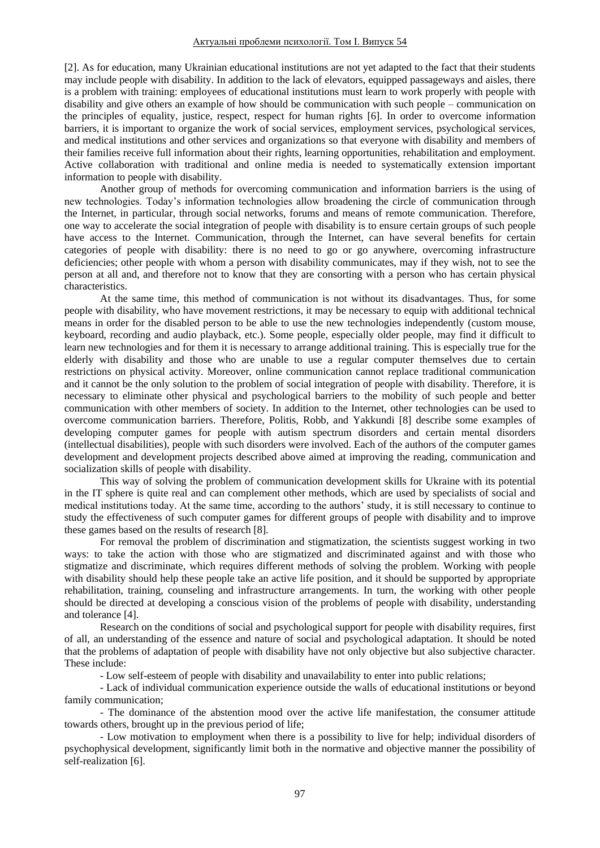[2]. As for education, many Ukrainian educational institutions are not yet adapted to the fact that their students may include people with disability. In addition to the lack of elevators, equipped passageways and aisles, there is a problem with training: employees of educational institutions must learn to work properly with people with disability and give others an example of how should be communication with such people – communication on the principles of equality, justice, respect, respect for human rights [6]. In order to overcome information barriers, it is important to organize the work of social services, employment services, psychological services, and medical institutions and other services and organizations so that everyone with disability and members of their families receive full information about their rights, learning opportunities, rehabilitation and employment. Active collaboration with traditional and online media is needed to systematically extension important information to people with disability.

Another group of methods for overcoming communication and information barriers is the using of new technologies. Today's information technologies allow broadening the circle of communication through the Internet, in particular, through social networks, forums and means of remote communication. Therefore, one way to accelerate the social integration of people with disability is to ensure certain groups of such people have access to the Internet. Communication, through the Internet, can have several benefits for certain categories of people with disability: there is no need to go or go anywhere, overcoming infrastructure deficiencies; other people with whom a person with disability communicates, may if they wish, not to see the person at all and, and therefore not to know that they are consorting with a person who has certain physical characteristics.

At the same time, this method of communication is not without its disadvantages. Thus, for some people with disability, who have movement restrictions, it may be necessary to equip with additional technical means in order for the disabled person to be able to use the new technologies independently (custom mouse, keyboard, recording and audio playback, etc.). Some people, especially older people, may find it difficult to learn new technologies and for them it is necessary to arrange additional training. This is especially true for the elderly with disability and those who are unable to use a regular computer themselves due to certain restrictions on physical activity. Moreover, online communication cannot replace traditional communication and it cannot be the only solution to the problem of social integration of people with disability. Therefore, it is necessary to eliminate other physical and psychological barriers to the mobility of such people and better communication with other members of society. In addition to the Internet, other technologies can be used to overcome communication barriers. Therefore, Politis, Robb, and Yakkundi [8] describe some examples of developing computer games for people with autism spectrum disorders and certain mental disorders (intellectual disabilities), people with such disorders were involved. Each of the authors of the computer games development and development projects described above aimed at improving the reading, communication and socialization skills of people with disability.

This way of solving the problem of communication development skills for Ukraine with its potential in the IT sphere is quite real and can complement other methods, which are used by specialists of social and medical institutions today. At the same time, according to the authors' study, it is still necessary to continue to study the effectiveness of such computer games for different groups of people with disability and to improve these games based on the results of research [8].

For removal the problem of discrimination and stigmatization, the scientists suggest working in two ways: to take the action with those who are stigmatized and discriminated against and with those who stigmatize and discriminate, which requires different methods of solving the problem. Working with people with disability should help these people take an active life position, and it should be supported by appropriate rehabilitation, training, counseling and infrastructure arrangements. In turn, the working with other people should be directed at developing a conscious vision of the problems of people with disability, understanding and tolerance [4].

Research on the conditions of social and psychological support for people with disability requires, first of all, an understanding of the essence and nature of social and psychological adaptation. It should be noted that the problems of adaptation of people with disability have not only objective but also subjective character. These include:

- Low self-esteem of people with disability and unavailability to enter into public relations;

- Lack of individual communication experience outside the walls of educational institutions or beyond family communication;

- The dominance of the abstention mood over the active life manifestation, the consumer attitude towards others, brought up in the previous period of life;

- Low motivation to employment when there is a possibility to live for help; individual disorders of psychophysical development, significantly limit both in the normative and objective manner the possibility of self-realization [6].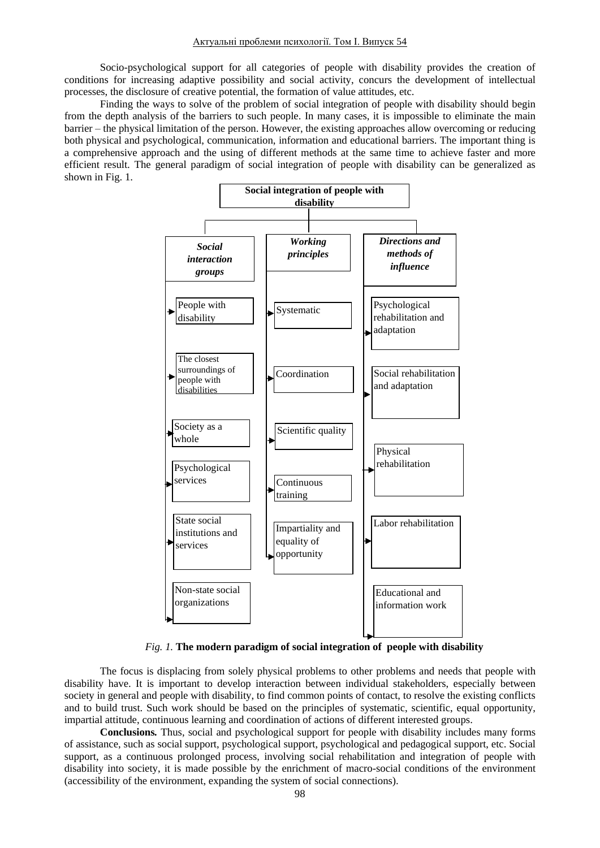Socio-psychological support for all categories of people with disability provides the creation of conditions for increasing adaptive possibility and social activity, concurs the development of intellectual processes, the disclosure of creative potential, the formation of value attitudes, etc.

Finding the ways to solve of the problem of social integration of people with disability should begin from the depth analysis of the barriers to such people. In many cases, it is impossible to eliminate the main barrier – the physical limitation of the person. However, the existing approaches allow overcoming or reducing both physical and psychological, communication, information and educational barriers. The important thing is a comprehensive approach and the using of different methods at the same time to achieve faster and more efficient result. The general paradigm of social integration of people with disability can be generalized as shown in Fig. 1.



*Fig. 1.* **The modern paradigm of social integration of people with disability**

The focus is displacing from solely physical problems to other problems and needs that people with disability have. It is important to develop interaction between individual stakeholders, especially between society in general and people with disability, to find common points of contact, to resolve the existing conflicts and to build trust. Such work should be based on the principles of systematic, scientific, equal opportunity, impartial attitude, continuous learning and coordination of actions of different interested groups.

**Conclusions***.* Thus, social and psychological support for people with disability includes many forms of assistance, such as social support, psychological support, psychological and pedagogical support, etc. Social support, as a continuous prolonged process, involving social rehabilitation and integration of people with disability into society, it is made possible by the enrichment of macro-social conditions of the environment (accessibility of the environment, expanding the system of social connections).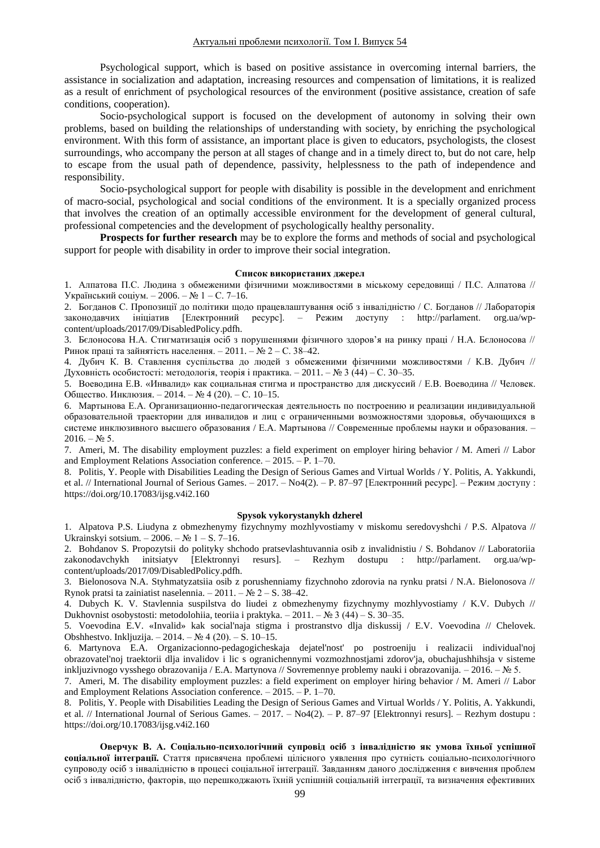Psychological support, which is based on positive assistance in overcoming internal barriers, the assistance in socialization and adaptation, increasing resources and compensation of limitations, it is realized as a result of enrichment of psychological resources of the environment (positive assistance, creation of safe conditions, cooperation).

Socio-psychological support is focused on the development of autonomy in solving their own problems, based on building the relationships of understanding with society, by enriching the psychological environment. With this form of assistance, an important place is given to educators, psychologists, the closest surroundings, who accompany the person at all stages of change and in a timely direct to, but do not care, help to escape from the usual path of dependence, passivity, helplessness to the path of independence and responsibility.

Socio-psychological support for people with disability is possible in the development and enrichment of macro-social, psychological and social conditions of the environment. It is a specially organized process that involves the creation of an optimally accessible environment for the development of general cultural, professional competencies and the development of psychologically healthy personality.

**Prospects for further research** may be to explore the forms and methods of social and psychological support for people with disability in order to improve their social integration.

#### **Список використаних джерел**

1. Алпатова П.С. Людина з обмеженими фізичними можливостями в міському середовищі / П.С. Алпатова // Український соціум. – 2006. – № 1 – С. 7–16.

2. Богданов С. Пропозиції до політики щодо працевлаштування осіб з інвалідністю / С. Богданов // Лабораторія<br>законодавчих ініціатив [Електронний ресурс]. – Режим доступу : http://parlament. org.ua/wp-[Електронний ресурс]. – Режим доступу : http://parlament. org.ua/wpcontent/uploads/2017/09/DisabledPolicy.pdfh.

3. Бєлоносова Н.А. Стигматизація осіб з порушеннями фізичного здоров'я на ринку праці / Н.А. Бєлоносова // Ринок праці та зайнятість населення. – 2011. – № 2 – С. 38–42.

4. Дубич К. В. Ставлення суспільства до людей з обмеженими фізичними можливостями / К.В. Дубич // Духовність особистості: методологія, теорія і практика. – 2011. – № 3 (44) – С. 30–35.

5. Воеводина Е.В. «Инвалид» как социальная стигма и пространство для дискуссий / Е.В. Воеводина // Человек. Общество. Инклюзия. – 2014. – № 4 (20). – С. 10–15.

6. Мартынова Е.А. Организационно-педагогическая деятельность по построению и реализации индивидуальной образовательной траектории для инвалидов и лиц с ограниченными возможностями здоровья, обучающихся в системе инклюзивного высшего образования / Е.А. Мартынова // Современные проблемы науки и образования. –  $2016. - No.5.$ 

7. Ameri, M. The disability employment puzzles: a field experiment on employer hiring behavior / M. Ameri // Labor and Employment Relations Association conference. – 2015. – P. 1–70.

8. Politis, Y. People with Disabilities Leading the Design of Serious Games and Virtual Worlds / Y. Politis, A. Yakkundi, et al. // International Journal of Serious Games. – 2017. – No4(2). – P. 87–97 [Електронний ресурс]. – Режим доступу : <https://doi.org/10.17083/ijsg.v4i2.160>

### **Spysok vykorystanykh dzherel**

1. Alpatova P.S. Liudyna z obmezhenymy fizychnymy mozhlyvostiamy v miskomu seredovyshchi / P.S. Alpatova // Ukrainskyi sotsium. – 2006. – № 1 – S. 7–16.

2. Bohdanov S. Propozytsii do polityky shchodo pratsevlashtuvannia osib z invalidnistiu / S. Bohdanov // Laboratoriia zakonodavchykh initsiatyv [Elektronnyi resurs]. – Rezhym dostupu : http://parlament. org.ua/wpzakonodavchykh initsiatyv [Elektronnyi resurs]. – Rezhym dostupu : http://parlament. org.ua/wpcontent/uploads/2017/09/DisabledPolicy.pdfh.

3. Bielonosova N.A. Styhmatyzatsiia osib z porushenniamy fizychnoho zdorovia na rynku pratsi / N.A. Bielonosova // Rynok pratsi ta zainiatist naselennia. – 2011. – № 2 – S. 38–42.

4. Dubych K. V. Stavlennia suspilstva do liudei z obmezhenymy fizychnymy mozhlyvostiamy / K.V. Dubych // Dukhovnist osobystosti: metodolohiia, teoriia i praktyka. – 2011. –  $N_2$  3 (44) – S. 30–35.

5. Voevodina E.V. «Invalid» kak social'naja stigma i prostranstvo dlja diskussij / E.V. Voevodina // Chelovek. Obshhestvo. Inkljuzija. – 2014. – № 4 (20). – S. 10–15.

6. Martynova E.A. Organizacionno-pedagogicheskaja dejatel'nost' po postroeniju i realizacii individual'noj obrazovatel'noj traektorii dlja invalidov i lic s ogranichennymi vozmozhnostjami zdorov'ja, obuchajushhihsja v sisteme inkljuzivnogo vysshego obrazovanija / E.A. Martynova // Sovremennye problemy nauki i obrazovanija. – 2016. – № 5.

7. Ameri, M. The disability employment puzzles: a field experiment on employer hiring behavior / M. Ameri // Labor and Employment Relations Association conference. – 2015. – P. 1–70.

8. Politis, Y. People with Disabilities Leading the Design of Serious Games and Virtual Worlds / Y. Politis, A. Yakkundi, et al. // International Journal of Serious Games. – 2017. – No4(2). – P. 87–97 [Elektronnyi resurs]. – Rezhym dostupu : https://doi.org/10.17083/ijsg.v4i2.160

**Оверчук В. А. Соціально-психологічний супровід осіб з інвалідністю як умова їхньої успішної соціальної інтеграції.** Стаття присвячена проблемі цілісного уявлення про сутність соціально-психологічного супроводу осіб з інвалідністю в процесі соціальної інтеграції. Завданням даного дослідження є вивчення проблем осіб з інвалідністю, факторів, що перешкоджають їхній успішній соціальній інтеграції, та визначення ефективних